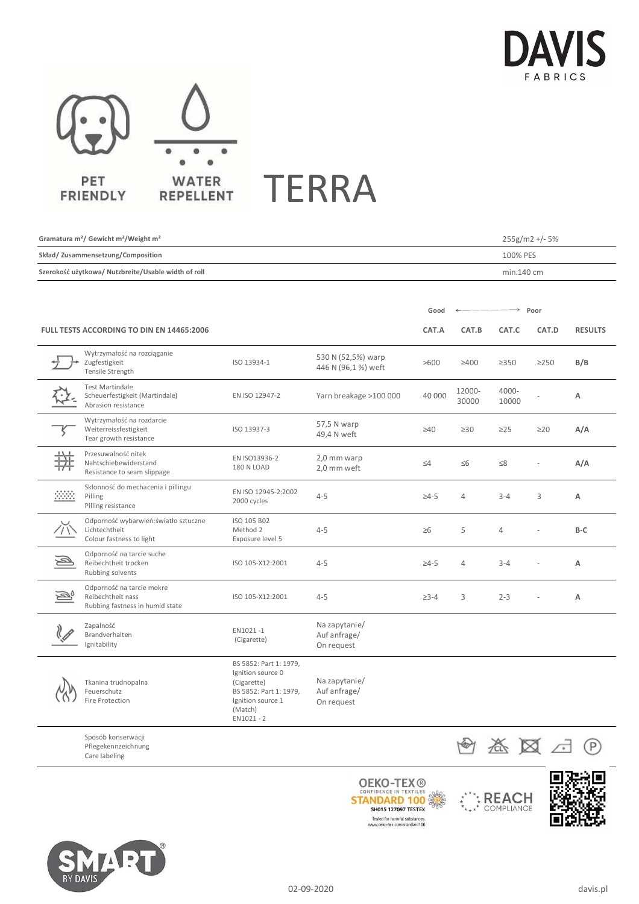



| Gramatura m <sup>2</sup> / Gewicht m <sup>2</sup> /Weight m <sup>2</sup> |                                                                                    |                                                                                                                                      |                                             |              | 255g/m2 +/- 5%  |                |            |                |
|--------------------------------------------------------------------------|------------------------------------------------------------------------------------|--------------------------------------------------------------------------------------------------------------------------------------|---------------------------------------------|--------------|-----------------|----------------|------------|----------------|
| Skład/ Zusammensetzung/Composition                                       |                                                                                    |                                                                                                                                      |                                             |              | 100% PES        |                |            |                |
| Szerokość użytkowa/ Nutzbreite/Usable width of roll                      |                                                                                    |                                                                                                                                      |                                             |              | min.140 cm      |                |            |                |
|                                                                          |                                                                                    |                                                                                                                                      |                                             |              |                 |                |            |                |
|                                                                          |                                                                                    |                                                                                                                                      |                                             | Good         | Poor            |                |            |                |
| <b>FULL TESTS ACCORDING TO DIN EN 14465:2006</b>                         |                                                                                    |                                                                                                                                      |                                             | CAT.A        | CAT.B           | CAT.C          | CAT.D      | <b>RESULTS</b> |
|                                                                          | Wytrzymałość na rozciąganie<br>Zugfestigkeit<br>Tensile Strength                   | ISO 13934-1                                                                                                                          | 530 N (52,5%) warp<br>446 N (96,1 %) weft   | >600         | $\geq 400$      | $\geq$ 350     | $\geq$ 250 | B/B            |
|                                                                          | <b>Test Martindale</b><br>Scheuerfestigkeit (Martindale)<br>Abrasion resistance    | EN ISO 12947-2                                                                                                                       | Yarn breakage >100 000                      | 40 000       | 12000-<br>30000 | 4000-<br>10000 |            | A              |
|                                                                          | Wytrzymałość na rozdarcie<br>Weiterreissfestigkeit<br>Tear growth resistance       | ISO 13937-3                                                                                                                          | 57,5 N warp<br>49,4 N weft                  | $\geq 40$    | $\geq 30$       | $\geq$ 25      | $\geq$ 20  | A/A            |
|                                                                          | Przesuwalność nitek<br>Nahtschiebewiderstand<br>Resistance to seam slippage        | EN ISO13936-2<br>180 N LOAD                                                                                                          | 2,0 mm warp<br>2,0 mm weft                  | $\leq 4$     | $\leq 6$        | $\leq$ 8       |            | A/A            |
|                                                                          | Skłonność do mechacenia i pillingu<br>Pilling<br>Pilling resistance                | EN ISO 12945-2:2002<br>2000 cycles                                                                                                   | $4 - 5$                                     | $\geq 4-5$   | $\overline{4}$  | $3 - 4$        | 3          | Α              |
|                                                                          | Odporność wybarwień: światło sztuczne<br>Lichtechtheit<br>Colour fastness to light | ISO 105 B02<br>Method 2<br>Exposure level 5                                                                                          | $4 - 5$                                     | $\geq 6$     | 5               | $\overline{4}$ |            | B-C            |
| ھ                                                                        | Odporność na tarcie suche<br>Reibechtheit trocken<br>Rubbing solvents              | ISO 105-X12:2001                                                                                                                     | $4 - 5$                                     | $\geq 4 - 5$ | $\overline{4}$  | $3 - 4$        |            | A              |
|                                                                          | Odporność na tarcie mokre<br>Reibechtheit nass<br>Rubbing fastness in humid state  | ISO 105-X12:2001                                                                                                                     | $4 - 5$                                     | $\geq 3-4$   | 3               | $2 - 3$        |            | Α              |
|                                                                          | Zapalność<br>Brandverhalten<br>Ignitability                                        | EN1021-1<br>(Cigarette)                                                                                                              | Na zapytanie/<br>Auf anfrage/<br>On request |              |                 |                |            |                |
|                                                                          | Tkanina trudnopalna<br>Feuerschutz<br>Fire Protection                              | BS 5852: Part 1: 1979,<br>Ignition source 0<br>(Cigarette)<br>BS 5852: Part 1: 1979,<br>Ignition source 1<br>(Match)<br>$EN1021 - 2$ | Na zapytanie/<br>Auf anfrage/<br>On request |              |                 |                |            |                |
|                                                                          | Sposób konserwacji<br>Pflegekennzeichnung<br>Care labeling                         |                                                                                                                                      |                                             |              |                 |                |            |                |
|                                                                          |                                                                                    |                                                                                                                                      |                                             |              |                 |                |            |                |